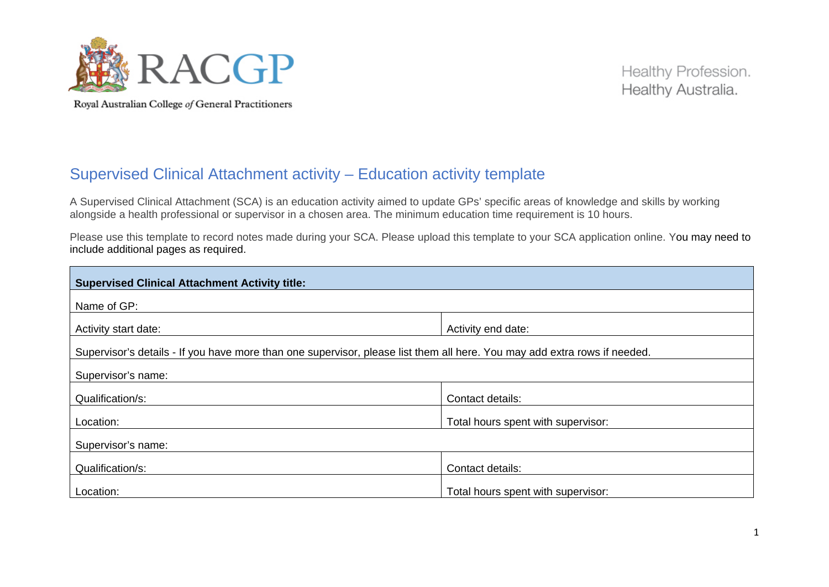

Healthy Profession. Healthy Australia.

## Supervised Clinical Attachment activity – Education activity template

A Supervised Clinical Attachment (SCA) is an education activity aimed to update GPs' specific areas of knowledge and skills by working alongside a health professional or supervisor in a chosen area. The minimum education time requirement is 10 hours.

Please use this template to record notes made during your SCA. Please upload this template to your SCA application online. You may need to include additional pages as required.

| <b>Supervised Clinical Attachment Activity title:</b>                                                                     |                                    |  |
|---------------------------------------------------------------------------------------------------------------------------|------------------------------------|--|
| Name of GP:                                                                                                               |                                    |  |
| Activity start date:                                                                                                      | Activity end date:                 |  |
| Supervisor's details - If you have more than one supervisor, please list them all here. You may add extra rows if needed. |                                    |  |
| Supervisor's name:                                                                                                        |                                    |  |
| Qualification/s:                                                                                                          | Contact details:                   |  |
| Location:                                                                                                                 | Total hours spent with supervisor: |  |
| Supervisor's name:                                                                                                        |                                    |  |
| Qualification/s:                                                                                                          | Contact details:                   |  |
| Location:                                                                                                                 | Total hours spent with supervisor: |  |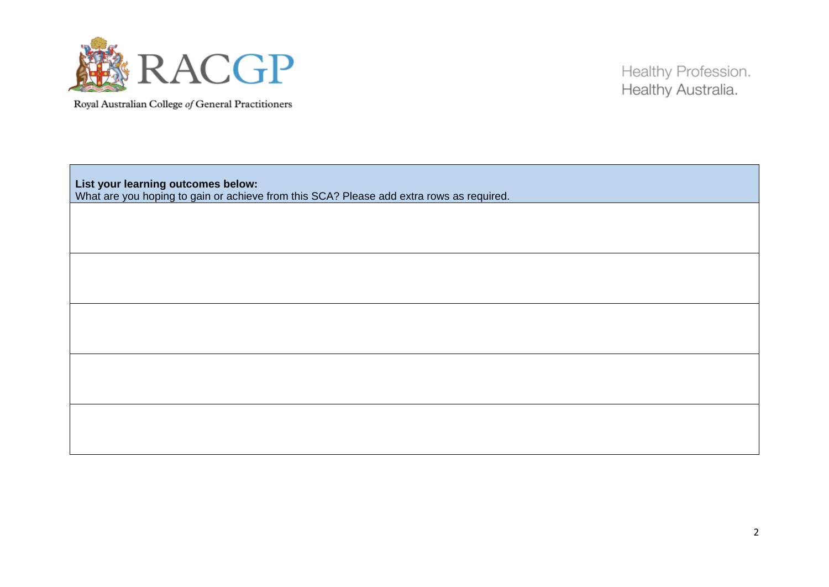

Healthy Profession. Healthy Australia.

**List your learning outcomes below:** What are you hoping to gain or achieve from this SCA? Please add extra rows as required.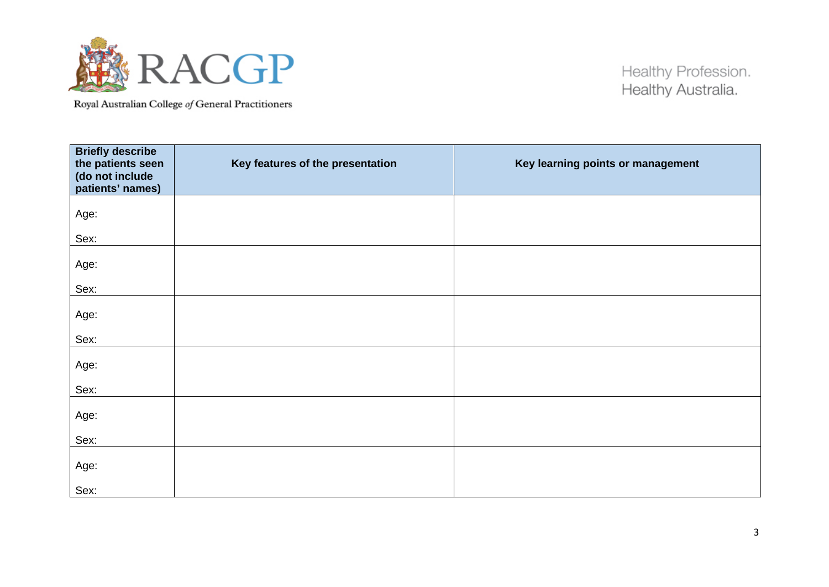

Healthy Profession. Healthy Australia.

| <b>Briefly describe</b><br>the patients seen<br>(do not include<br>patients' names) | Key features of the presentation | Key learning points or management |
|-------------------------------------------------------------------------------------|----------------------------------|-----------------------------------|
| Age:<br>Sex:                                                                        |                                  |                                   |
| Age:<br>Sex:                                                                        |                                  |                                   |
| Age:                                                                                |                                  |                                   |
| Sex:<br>Age:                                                                        |                                  |                                   |
| Sex:<br>Age:                                                                        |                                  |                                   |
| Sex:<br>Age:                                                                        |                                  |                                   |
| Sex:                                                                                |                                  |                                   |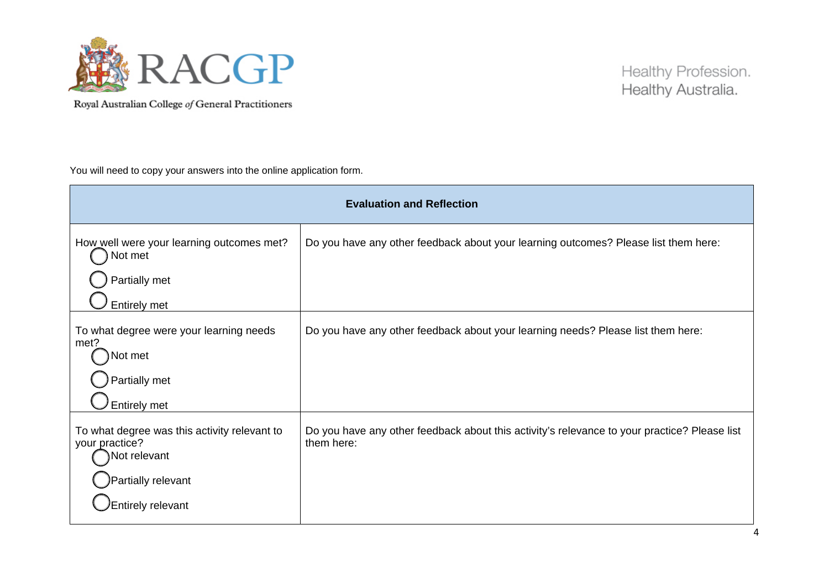

You will need to copy your answers into the online application form.

| <b>Evaluation and Reflection</b>                                                                                                 |                                                                                                            |  |
|----------------------------------------------------------------------------------------------------------------------------------|------------------------------------------------------------------------------------------------------------|--|
| How well were your learning outcomes met?<br>Not met<br>Partially met<br><b>Entirely met</b>                                     | Do you have any other feedback about your learning outcomes? Please list them here:                        |  |
| To what degree were your learning needs<br>met?<br>Not met<br>Partially met<br><b>Entirely met</b>                               | Do you have any other feedback about your learning needs? Please list them here:                           |  |
| To what degree was this activity relevant to<br>your practice?<br>Not relevant<br>Partially relevant<br><b>Entirely relevant</b> | Do you have any other feedback about this activity's relevance to your practice? Please list<br>them here: |  |